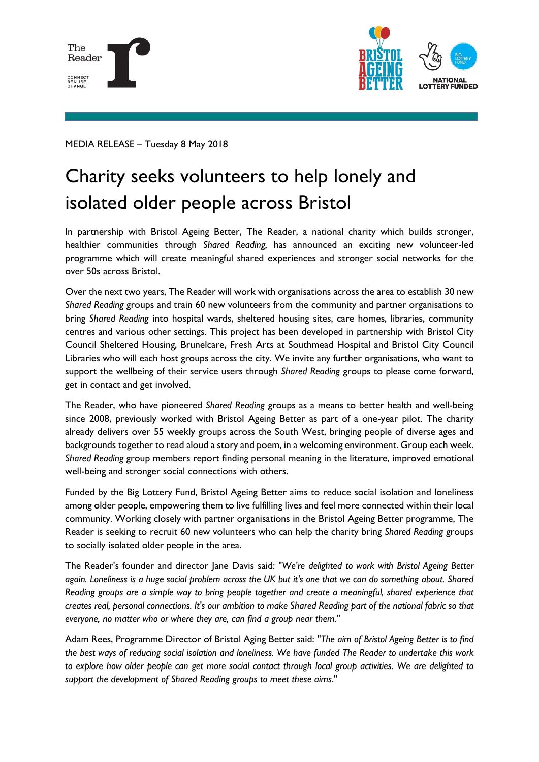



MEDIA RELEASE – Tuesday 8 May 2018

## Charity seeks volunteers to help lonely and isolated older people across Bristol

In partnership with Bristol Ageing Better, The Reader, a national charity which builds stronger, healthier communities through *Shared Reading,* has announced an exciting new volunteer-led programme which will create meaningful shared experiences and stronger social networks for the over 50s across Bristol.

Over the next two years, The Reader will work with organisations across the area to establish 30 new *Shared Reading* groups and train 60 new volunteers from the community and partner organisations to bring *Shared Reading* into hospital wards, sheltered housing sites, care homes, libraries, community centres and various other settings. This project has been developed in partnership with Bristol City Council Sheltered Housing, Brunelcare, Fresh Arts at Southmead Hospital and Bristol City Council Libraries who will each host groups across the city. We invite any further organisations, who want to support the wellbeing of their service users through *Shared Reading* groups to please come forward, get in contact and get involved.

The Reader, who have pioneered *Shared Reading* groups as a means to better health and well-being since 2008, previously worked with Bristol Ageing Better as part of a one-year pilot. The charity already delivers over 55 weekly groups across the South West, bringing people of diverse ages and backgrounds together to read aloud a story and poem, in a welcoming environment. Group each week. *Shared Reading* group members report finding personal meaning in the literature, improved emotional well-being and stronger social connections with others.

Funded by the Big Lottery Fund, Bristol Ageing Better aims to reduce social isolation and loneliness among older people, empowering them to live fulfilling lives and feel more connected within their local community. Working closely with partner organisations in the Bristol Ageing Better programme, The Reader is seeking to recruit 60 new volunteers who can help the charity bring *Shared Reading* groups to socially isolated older people in the area.

The Reader's founder and director Jane Davis said: "*We're delighted to work with Bristol Ageing Better again. Loneliness is a huge social problem across the UK but it's one that we can do something about. Shared Reading groups are a simple way to bring people together and create a meaningful, shared experience that creates real, personal connections. It's our ambition to make Shared Reading part of the national fabric so that everyone, no matter who or where they are, can find a group near them."*

Adam Rees, Programme Director of Bristol Aging Better said: *"The aim of Bristol Ageing Better is to find the best ways of reducing social isolation and loneliness. We have funded The Reader to undertake this work to explore how older people can get more social contact through local group activities. We are delighted to support the development of Shared Reading groups to meet these aims*."